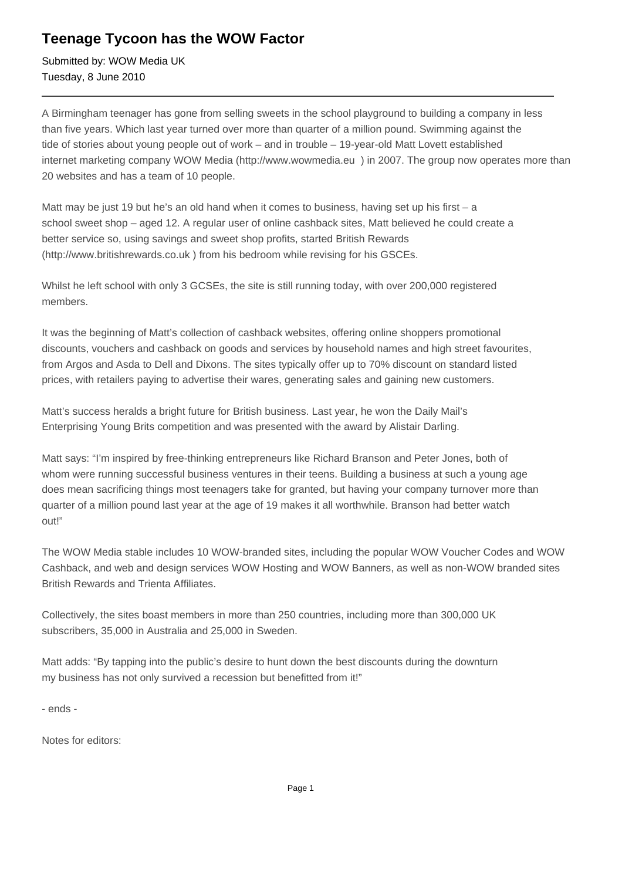## **Teenage Tycoon has the WOW Factor**

Submitted by: WOW Media UK Tuesday, 8 June 2010

A Birmingham teenager has gone from selling sweets in the school playground to building a company in less than five years. Which last year turned over more than quarter of a million pound. Swimming against the tide of stories about young people out of work – and in trouble – 19-year-old Matt Lovett established internet marketing company WOW Media (http://www.wowmedia.eu ) in 2007. The group now operates more than 20 websites and has a team of 10 people.

Matt may be just 19 but he's an old hand when it comes to business, having set up his first – a school sweet shop – aged 12. A regular user of online cashback sites, Matt believed he could create a better service so, using savings and sweet shop profits, started British Rewards (http://www.britishrewards.co.uk ) from his bedroom while revising for his GSCEs.

Whilst he left school with only 3 GCSEs, the site is still running today, with over 200,000 registered members.

It was the beginning of Matt's collection of cashback websites, offering online shoppers promotional discounts, vouchers and cashback on goods and services by household names and high street favourites, from Argos and Asda to Dell and Dixons. The sites typically offer up to 70% discount on standard listed prices, with retailers paying to advertise their wares, generating sales and gaining new customers.

Matt's success heralds a bright future for British business. Last year, he won the Daily Mail's Enterprising Young Brits competition and was presented with the award by Alistair Darling.

Matt says: "I'm inspired by free-thinking entrepreneurs like Richard Branson and Peter Jones, both of whom were running successful business ventures in their teens. Building a business at such a young age does mean sacrificing things most teenagers take for granted, but having your company turnover more than quarter of a million pound last year at the age of 19 makes it all worthwhile. Branson had better watch out!"

The WOW Media stable includes 10 WOW-branded sites, including the popular WOW Voucher Codes and WOW Cashback, and web and design services WOW Hosting and WOW Banners, as well as non-WOW branded sites British Rewards and Trienta Affiliates.

Collectively, the sites boast members in more than 250 countries, including more than 300,000 UK subscribers, 35,000 in Australia and 25,000 in Sweden.

Matt adds: "By tapping into the public's desire to hunt down the best discounts during the downturn my business has not only survived a recession but benefitted from it!"

- ends -

Notes for editors: